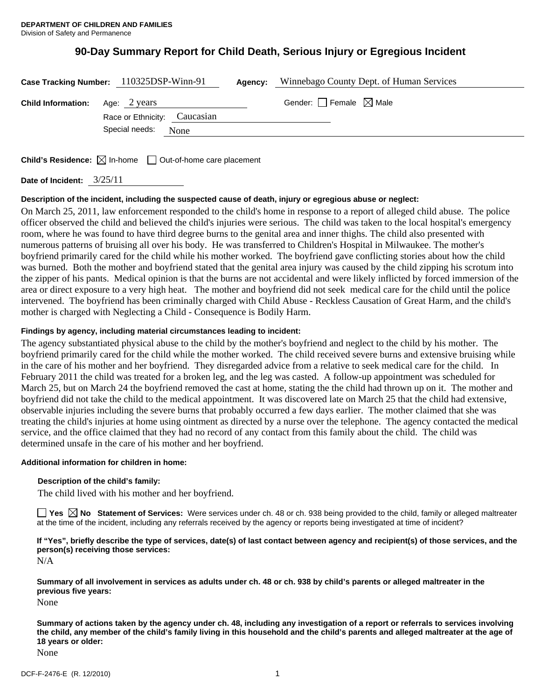# **90-Day Summary Report for Child Death, Serious Injury or Egregious Incident**

|                                        | Case Tracking Number: 110325DSP-Winn-91 | <b>Agency:</b> Winnebago County Dept. of Human Services |
|----------------------------------------|-----------------------------------------|---------------------------------------------------------|
| <b>Child Information:</b> Age: 2 years | Race or Ethnicity: Caucasian            | Gender: $\Box$ Female $\boxtimes$ Male                  |
|                                        | Special needs: None                     |                                                         |
|                                        |                                         |                                                         |

**Child's Residence:**  $\boxtimes$  In-home  $\Box$  Out-of-home care placement

**Date of Incident:** 3/25/11

# **Description of the incident, including the suspected cause of death, injury or egregious abuse or neglect:**

On March 25, 2011, law enforcement responded to the child's home in response to a report of alleged child abuse. The police officer observed the child and believed the child's injuries were serious. The child was taken to the local hospital's emergency room, where he was found to have third degree burns to the genital area and inner thighs. The child also presented with numerous patterns of bruising all over his body. He was transferred to Children's Hospital in Milwaukee. The mother's boyfriend primarily cared for the child while his mother worked. The boyfriend gave conflicting stories about how the child was burned. Both the mother and boyfriend stated that the genital area injury was caused by the child zipping his scrotum into the zipper of his pants. Medical opinion is that the burns are not accidental and were likely inflicted by forced immersion of the area or direct exposure to a very high heat. The mother and boyfriend did not seek medical care for the child until the police intervened. The boyfriend has been criminally charged with Child Abuse - Reckless Causation of Great Harm, and the child's mother is charged with Neglecting a Child - Consequence is Bodily Harm.

# **Findings by agency, including material circumstances leading to incident:**

The agency substantiated physical abuse to the child by the mother's boyfriend and neglect to the child by his mother. The boyfriend primarily cared for the child while the mother worked. The child received severe burns and extensive bruising while in the care of his mother and her boyfriend. They disregarded advice from a relative to seek medical care for the child. In February 2011 the child was treated for a broken leg, and the leg was casted. A follow-up appointment was scheduled for March 25, but on March 24 the boyfriend removed the cast at home, stating the the child had thrown up on it. The mother and boyfriend did not take the child to the medical appointment. It was discovered late on March 25 that the child had extensive, observable injuries including the severe burns that probably occurred a few days earlier. The mother claimed that she was treating the child's injuries at home using ointment as directed by a nurse over the telephone. The agency contacted the medical service, and the office claimed that they had no record of any contact from this family about the child. The child was determined unsafe in the care of his mother and her boyfriend.

## **Additional information for children in home:**

## **Description of the child's family:**

The child lived with his mother and her boyfriend.

**Yes No Statement of Services:** Were services under ch. 48 or ch. 938 being provided to the child, family or alleged maltreater at the time of the incident, including any referrals received by the agency or reports being investigated at time of incident?

**If "Yes", briefly describe the type of services, date(s) of last contact between agency and recipient(s) of those services, and the person(s) receiving those services:** 

N/A

**Summary of all involvement in services as adults under ch. 48 or ch. 938 by child's parents or alleged maltreater in the previous five years:** 

None

**Summary of actions taken by the agency under ch. 48, including any investigation of a report or referrals to services involving the child, any member of the child's family living in this household and the child's parents and alleged maltreater at the age of 18 years or older:** 

None